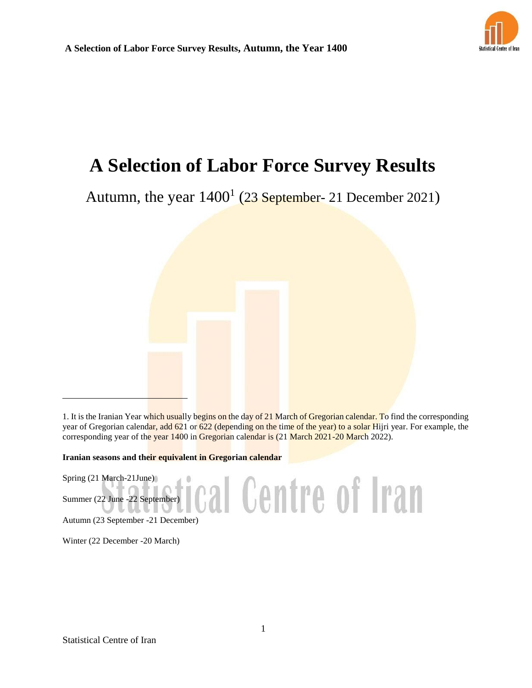

# **A Selection of Labor Force Survey Results**

Autumn, the year  $1400<sup>1</sup>$  (23 September- 21 December 2021)

1. It is the Iranian Year which usually begins on the day of 21 March of Gregorian calendar. To find the corresponding year of Gregorian calendar, add 621 or 622 (depending on the time of the year) to a solar Hijri year. For example, the corresponding year of the year 1400 in Gregorian calendar is (21 March 2021-20 March 2022).

ical Centre of Iran

**Iranian seasons and their equivalent in Gregorian calendar**

Spring (21 March-21June)

Summer (22 June -22 September)

Autumn (23 September -21 December)

Winter (22 December -20 March)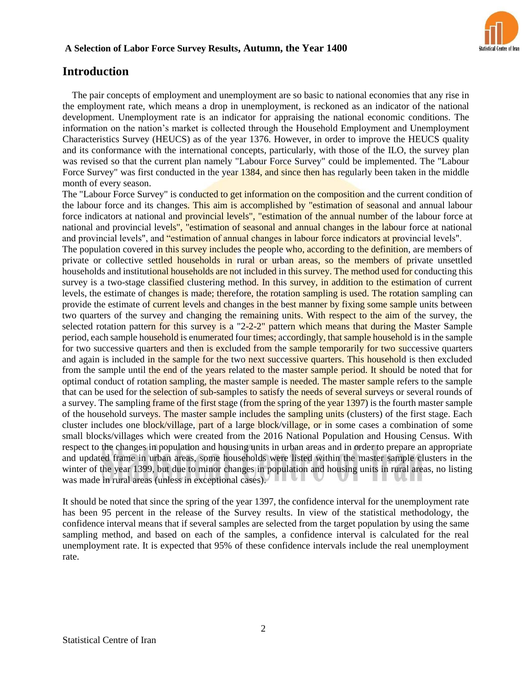

# **Introduction**

The pair concepts of employment and unemployment are so basic to national economies that any rise in the employment rate, which means a drop in unemployment, is reckoned as an indicator of the national development. Unemployment rate is an indicator for appraising the national economic conditions. The information on the nation's market is collected through the Household Employment and Unemployment Characteristics Survey (HEUCS) as of the year 1376. However, in order to improve the HEUCS quality and its conformance with the international concepts, particularly, with those of the ILO, the survey plan was revised so that the current plan namely "Labour Force Survey" could be implemented. The "Labour Force Survey" was first conducted in the year 1384, and since then has regularly been taken in the middle month of every season.

The "Labour Force Survey" is conducted to get information on the composition and the current condition of the labour force and its changes. This aim is accomplished by "estimation of seasonal and annual labour force indicators at national and provincial levels", "estimation of the annual number of the labour force at national and provincial levels", "estimation of seasonal and annual changes in the labour force at national and provincial levels", and "estimation of annual changes in labour force indicators at provincial levels".

The population covered in this survey includes the people who, according to the definition, are members of private or collective settled households in rural or urban areas, so the members of private unsettled households and institutional households are not included in this survey. The method used for conducting this survey is a two-stage classified clustering method. In this survey, in addition to the estimation of current levels, the estimate of changes is made; therefore, the rotation sampling is used. The rotation sampling can provide the estimate of current levels and changes in the best manner by fixing some sample units between two quarters of the survey and changing the remaining units. With respect to the aim of the survey, the selected rotation pattern for this survey is a "2-2-2" pattern which means that during the Master Sample period, each sample household is enumerated four times; accordingly, that sample household is in the sample for two successive quarters and then is excluded from the sample temporarily for two successive quarters and again is included in the sample for the two next successive quarters. This household is then excluded from the sample until the end of the years related to the master sample period. It should be noted that for optimal conduct of rotation sampling, the master sample is needed. The master sample refers to the sample that can be used for the selection of sub-samples to satisfy the needs of several surveys or several rounds of a survey. The sampling frame of the first stage (from the spring of the year 1397) is the fourth master sample of the household surveys. The master sample includes the sampling units (clusters) of the first stage. Each cluster includes one block/village, part of a large block/village, or in some cases a combination of some small blocks/villages which were created from the 2016 National Population and Housing Census. With respect to the changes in population and housing units in urban areas and in order to prepare an appropriate and updated frame in urban areas, some households were listed within the master sample clusters in the winter of the year 1399, but due to minor changes in population and housing units in rural areas, no listing was made in rural areas (unless in exceptional cases).

It should be noted that since the spring of the year 1397, the confidence interval for the unemployment rate has been 95 percent in the release of the Survey results. In view of the statistical methodology, the confidence interval means that if several samples are selected from the target population by using the same sampling method, and based on each of the samples, a confidence interval is calculated for the real unemployment rate. It is expected that 95% of these confidence intervals include the real unemployment rate.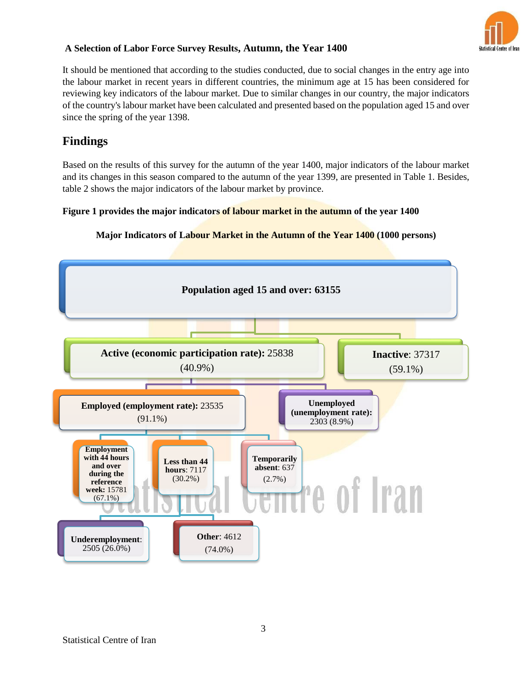

It should be mentioned that according to the studies conducted, due to social changes in the entry age into the labour market in recent years in different countries, the minimum age at 15 has been considered for reviewing key indicators of the labour market. Due to similar changes in our country, the major indicators of the country's labour market have been calculated and presented based on the population aged 15 and over since the spring of the year 1398.

# **Findings**

Based on the results of this survey for the autumn of the year 1400, major indicators of the labour market and its changes in this season compared to the autumn of the year 1399, are presented in Table 1. Besides, table 2 shows the major indicators of the labour market by province.

## **Figure 1 provides the major indicators of labour market in the autumn of the year 1400**



#### **Major Indicators of Labour Market in the Autumn of the Year 1400 (1000 persons)**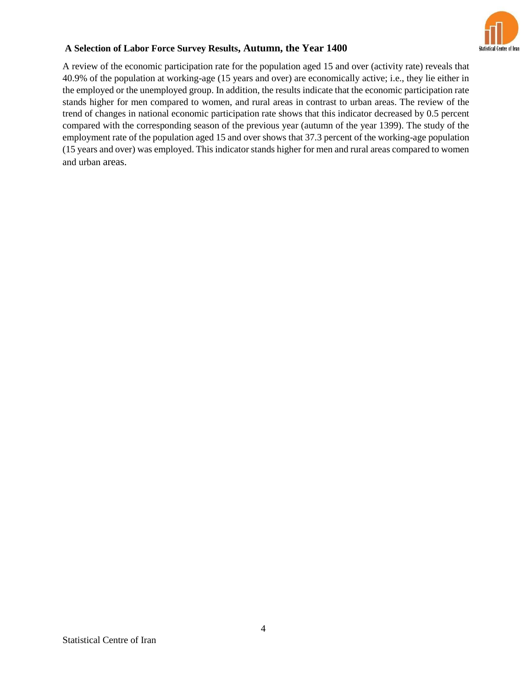

A review of the economic participation rate for the population aged 15 and over (activity rate) reveals that 40.9% of the population at working-age (15 years and over) are economically active; i.e., they lie either in the employed or the unemployed group. In addition, the results indicate that the economic participation rate stands higher for men compared to women, and rural areas in contrast to urban areas. The review of the trend of changes in national economic participation rate shows that this indicator decreased by 0.5 percent compared with the corresponding season of the previous year (autumn of the year 1399). The study of the employment rate of the population aged 15 and over shows that 37.3 percent of the working-age population (15 years and over) was employed. This indicator stands higher for men and rural areas compared to women and urban areas.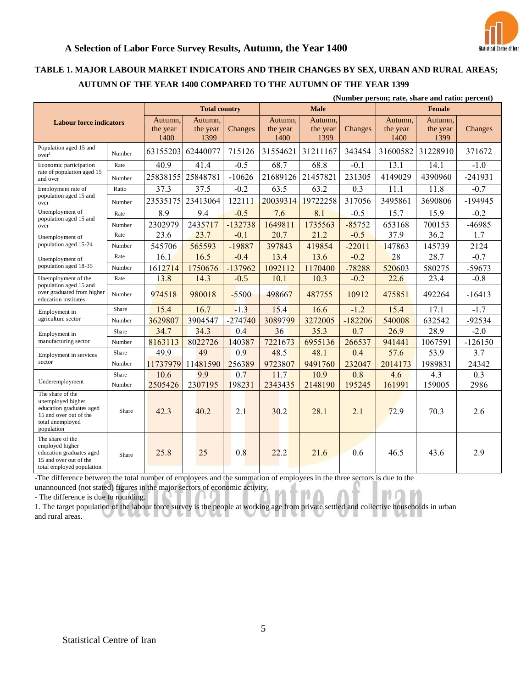

# **TABLE 1. MAJOR LABOUR MARKET INDICATORS AND THEIR CHANGES BY SEX, URBAN AND RURAL AREAS; AUTUMN OF THE YEAR 1400 COMPARED TO THE AUTUMN OF THE YEAR 1399**

| (Number person; rate, share and ratio: percent)                                                                               |        |                                |                             |           |                             |                             |           |                             |                             |           |
|-------------------------------------------------------------------------------------------------------------------------------|--------|--------------------------------|-----------------------------|-----------|-----------------------------|-----------------------------|-----------|-----------------------------|-----------------------------|-----------|
| <b>Labour force indicators</b>                                                                                                |        | <b>Total country</b>           |                             |           | <b>Male</b>                 |                             |           | <b>Female</b>               |                             |           |
|                                                                                                                               |        | Autumn.<br>the year<br>1400    | Autumn,<br>the year<br>1399 | Changes   | Autumn,<br>the year<br>1400 | Autumn,<br>the year<br>1399 | Changes   | Autumn,<br>the year<br>1400 | Autumn,<br>the year<br>1399 | Changes   |
| Population aged 15 and<br>over <sup>1</sup>                                                                                   | Number | 63155203<br>62440077<br>715126 |                             | 31554621  | 31211167                    | 343454                      | 31600582  | 31228910                    | 371672                      |           |
| Economic participation                                                                                                        | Rate   | 40.9                           | 41.4                        | $-0.5$    | 68.7                        | 68.8                        | $-0.1$    | 13.1                        | 14.1                        | $-1.0$    |
| rate of population aged 15<br>and over                                                                                        | Number | 25838155                       | 25848781                    | $-10626$  | 21689126                    | 21457821                    | 231305    | 4149029                     | 4390960                     | $-241931$ |
| Employment rate of                                                                                                            | Ratio  | 37.3                           | 37.5                        | $-0.2$    | 63.5                        | 63.2                        | 0.3       | 11.1                        | 11.8                        | $-0.7$    |
| population aged 15 and<br>over                                                                                                | Number | 23535175                       | 23413064                    | 122111    | 20039314                    | 19722258                    | 317056    | 3495861                     | 3690806                     | $-194945$ |
| Unemployment of                                                                                                               | Rate   | 8.9                            | 9.4                         | $-0.5$    | 7.6                         | 8.1                         | $-0.5$    | 15.7                        | 15.9                        | $-0.2$    |
| population aged 15 and<br>over                                                                                                | Number | 2302979                        | 2435717                     | $-132738$ | 1649811                     | 1735563                     | $-85752$  | 653168                      | 700153                      | -46985    |
| Unemployment of                                                                                                               | Rate   | 23.6                           | 23.7                        | $-0.1$    | 20.7                        | 21.2                        | $-0.5$    | 37.9                        | 36.2                        | 1.7       |
| population aged 15-24                                                                                                         | Number | 545706                         | 565593                      | -19887    | 397843                      | 419854                      | $-22011$  | 147863                      | 145739                      | 2124      |
| Unemployment of<br>population aged 18-35                                                                                      | Rate   | 16.1                           | 16.5                        | $-0.4$    | 13.4                        | 13.6                        | $-0.2$    | 28                          | 28.7                        | $-0.7$    |
|                                                                                                                               | Number | 1612714                        | 1750676                     | $-137962$ | 1092112                     | 1170400                     | $-78288$  | 520603                      | 580275                      | -59673    |
| Unemployment of the<br>population aged 15 and<br>over graduated from higher<br>education institutes                           | Rate   | 13.8                           | 14.3                        | $-0.5$    | 10.1                        | 10.3                        | $-0.2$    | 22.6                        | 23.4                        | $-0.8$    |
|                                                                                                                               | Number | 974518                         | 980018                      | $-5500$   | 498667                      | 487755                      | 10912     | 475851                      | 492264                      | $-16413$  |
| Employment in<br>agriculture sector                                                                                           | Share  | 15.4                           | 16.7                        | $-1.3$    | 15.4                        | 16.6                        | $-1.2$    | 15.4                        | 17.1                        | $-1.7$    |
|                                                                                                                               | Number | 3629807                        | 3904547                     | $-274740$ | 3089799                     | 3272005                     | $-182206$ | 540008                      | 632542                      | $-92534$  |
| Employment in<br>manufacturing sector                                                                                         | Share  | 34.7                           | 34.3                        | 0.4       | 36                          | 35.3                        | 0.7       | 26.9                        | 28.9                        | $-2.0$    |
|                                                                                                                               | Number | 8163113                        | 8022726                     | 140387    | 7221673                     | 6955136                     | 266537    | 941441                      | 1067591                     | $-126150$ |
| Employment in services                                                                                                        | Share  | 49.9                           | 49                          | 0.9       | 48.5                        | 48.1                        | 0.4       | 57.6                        | 53.9                        | 3.7       |
| sector                                                                                                                        | Number | 11737979                       | 11481590                    | 256389    | 9723807                     | 9491760                     | 232047    | 2014173                     | 1989831                     | 24342     |
| Underemployment                                                                                                               | Share  | 10.6                           | 9.9                         | 0.7       | 11.7                        | 10.9                        | 0.8       | 4.6                         | 4.3                         | 0.3       |
|                                                                                                                               | Number | 2505426                        | 2307195                     | 198231    | 2343435                     | 2148190                     | 195245    | 161991                      | 159005                      | 2986      |
| The share of the<br>unemployed higher<br>education graduates aged<br>15 and over out of the<br>total unemployed<br>population | Share  | 42.3                           | 40.2                        | 2.1       | 30.2                        | 28.1                        | 2.1       | 72.9                        | 70.3                        | 2.6       |
| The share of the<br>employed higher<br>education graduates aged<br>15 and over out of the<br>total employed population        | Share  | 25.8                           | 25                          | 0.8       | 22.2                        | 21.6                        | 0.6       | 46.5                        | 43.6                        | 2.9       |

-The difference between the total number of employees and the summation of employees in the three sectors is due to the

unannounced (not stated) figures in the major sectors of economic activity.

- The difference is due to rounding.

1. The target population of the labour force survey is the people at working age from private settled and collective households in urban and rural areas.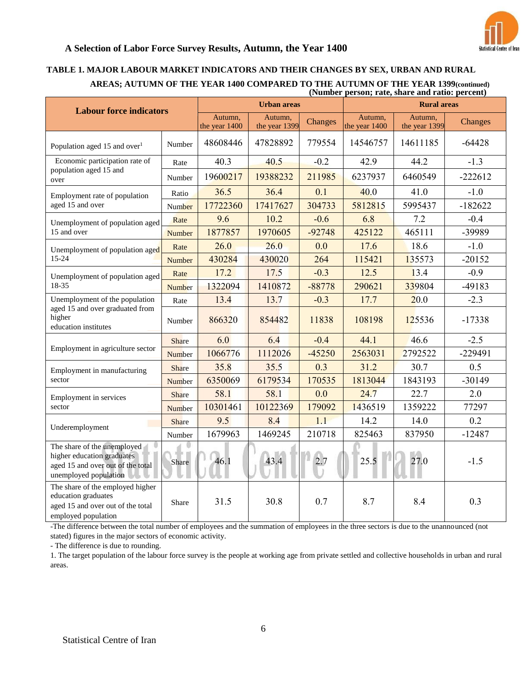

#### **TABLE 1. MAJOR LABOUR MARKET INDICATORS AND THEIR CHANGES BY SEX, URBAN AND RURAL AREAS; AUTUMN OF THE YEAR 1400 COMPARED TO THE AUTUMN OF THE YEAR 1399(continued) (Number person; rate, share and ratio: percent)**

|                                                                                                                         |                                                      | <b>Urban areas</b>   |                | $\mu$ vannoci personi, rate, snare anu ratio. percent $\mu$<br><b>Rural areas</b> |                          |          |           |
|-------------------------------------------------------------------------------------------------------------------------|------------------------------------------------------|----------------------|----------------|-----------------------------------------------------------------------------------|--------------------------|----------|-----------|
| <b>Labour force indicators</b>                                                                                          | Autumn,<br>Autumn,<br>the year 1399<br>the year 1400 |                      | <b>Changes</b> | Autumn,<br>the year 1400                                                          | Autumn,<br>the year 1399 | Changes  |           |
| Population aged 15 and over <sup>1</sup>                                                                                | Number                                               | 48608446             | 47828892       | 779554                                                                            | 14546757                 | 14611185 | $-64428$  |
| Economic participation rate of                                                                                          | Rate                                                 | 40.3                 | 40.5           | $-0.2$                                                                            | 42.9                     | 44.2     | $-1.3$    |
| population aged 15 and<br>over                                                                                          | Number                                               | 19600217             | 19388232       | 211985                                                                            | 6237937                  | 6460549  | $-222612$ |
| Employment rate of population                                                                                           | Ratio                                                | 36.5                 | 36.4           | 0.1                                                                               | 40.0                     | 41.0     | $-1.0$    |
| aged 15 and over                                                                                                        | Number                                               | 17722360<br>17417627 |                | 304733                                                                            | 5812815                  | 5995437  | $-182622$ |
| Unemployment of population aged                                                                                         | Rate                                                 | 9.6                  | 10.2           | $-0.6$                                                                            | 6.8                      | 7.2      | $-0.4$    |
| 15 and over                                                                                                             | Number                                               | 1877857              | 1970605        |                                                                                   | 425122                   | 465111   | -39989    |
| Unemployment of population aged                                                                                         | Rate                                                 | 26.0                 | 26.0           | 0.0                                                                               | 17.6                     | 18.6     | $-1.0$    |
| 15-24                                                                                                                   | Number                                               | 430284               | 430020         | 264                                                                               | 115421                   | 135573   | $-20152$  |
| Unemployment of population aged                                                                                         | Rate                                                 | 17.2                 | 17.5           | $-0.3$                                                                            | 12.5                     | 13.4     | $-0.9$    |
| 18-35                                                                                                                   | <b>Number</b>                                        | 1322094              | 1410872        | $-88778$                                                                          | 290621                   | 339804   | -49183    |
| Unemployment of the population                                                                                          | Rate                                                 | 13.4                 | 13.7           | $-0.3$                                                                            | 17.7                     | 20.0     | $-2.3$    |
| aged 15 and over graduated from<br>higher<br>education institutes                                                       | Number                                               | 866320               | 854482         | 11838                                                                             | 108198                   | 125536   | $-17338$  |
|                                                                                                                         | Share                                                | 6.0                  | 6.4            | $-0.4$                                                                            | 44.1                     | 46.6     | $-2.5$    |
| Employment in agriculture sector                                                                                        | Number                                               | 1066776              | 1112026        | $-45250$                                                                          | 2563031                  | 2792522  | $-229491$ |
| Employment in manufacturing                                                                                             | Share                                                | 35.8                 | 35.5           | 0.3                                                                               | 31.2                     | 30.7     | 0.5       |
| sector                                                                                                                  | Number                                               | 6350069              | 6179534        | 170535                                                                            | 1813044                  | 1843193  | $-30149$  |
| Employment in services                                                                                                  | Share                                                | 58.1                 | 58.1           | 0.0                                                                               | 24.7                     | 22.7     | 2.0       |
| sector                                                                                                                  | Number                                               | 10301461             | 10122369       | 179092                                                                            | 1436519                  | 1359222  | 77297     |
|                                                                                                                         | Share                                                | 9.5                  | 8.4            | 1.1                                                                               | 14.2                     | 14.0     | 0.2       |
| Underemployment                                                                                                         | Number                                               | 1679963              | 1469245        | 210718                                                                            | 825463                   | 837950   | $-12487$  |
| The share of the unemployed<br>higher education graduates<br>aged 15 and over out of the total<br>unemployed population | Share                                                | 46.1                 | 43.4           | 2.7<br>11                                                                         | 25.5                     | 27.0     | $-1.5$    |
| The share of the employed higher<br>education graduates<br>aged 15 and over out of the total<br>employed population     | Share                                                | 31.5                 | 30.8           | 0.7                                                                               | 8.7                      | 8.4      | 0.3       |

-The difference between the total number of employees and the summation of employees in the three sectors is due to the unannounced (not stated) figures in the major sectors of economic activity.

- The difference is due to rounding.

1. The target population of the labour force survey is the people at working age from private settled and collective households in urban and rural areas.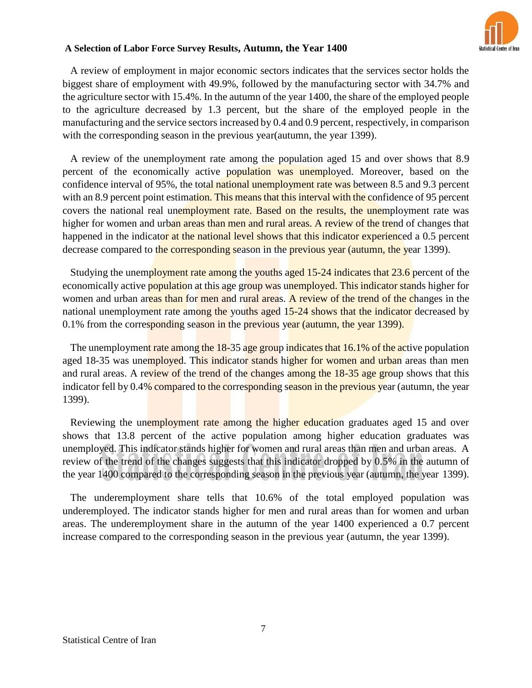

A review of employment in major economic sectors indicates that the services sector holds the biggest share of employment with 49.9%, followed by the manufacturing sector with 34.7% and the agriculture sector with 15.4%. In the autumn of the year 1400, the share of the employed people to the agriculture decreased by 1.3 percent, but the share of the employed people in the manufacturing and the service sectors increased by 0.4 and 0.9 percent, respectively, in comparison with the corresponding season in the previous year(autumn, the year 1399).

A review of the unemployment rate among the population aged 15 and over shows that 8.9 percent of the economically active population was unemployed. Moreover, based on the confidence interval of 95%, the total national unemployment rate was between 8.5 and 9.3 percent with an 8.9 percent point estimation. This means that this interval with the confidence of 95 percent covers the national real unemployment rate. Based on the results, the unemployment rate was higher for women and urban areas than men and rural areas. A review of the trend of changes that happened in the indicator at the national level shows that this indicator experienced a 0.5 percent decrease compared to the corresponding season in the previous year (autumn, the year 1399).

Studying the unemployment rate among the youths aged 15-24 indicates that 23.6 percent of the economically active population at this age group was unemployed. This indicator stands higher for women and urban areas than for men and rural areas. A review of the trend of the changes in the national unemployment rate among the youths aged 15-24 shows that the indicator decreased by 0.1% from the corresponding season in the previous year (autumn, the year 1399).

The unemployment rate among the 18-35 age group indicates that 16.1% of the active population aged 18-35 was unemployed. This indicator stands higher for women and urban areas than men and rural areas. A review of the trend of the changes among the 18-35 age group shows that this indicator fell by 0.4% compared to the corresponding season in the previous year (autumn, the year 1399).

Reviewing the unemployment rate among the higher education graduates aged 15 and over shows that 13.8 percent of the active population among higher education graduates was unemployed. This indicator stands higher for women and rural areas than men and urban areas. A review of the trend of the changes suggests that this indicator dropped by 0.5% in the autumn of the year 1400 compared to the corresponding season in the previous year (autumn, the year 1399).

The underemployment share tells that 10.6% of the total employed population was underemployed. The indicator stands higher for men and rural areas than for women and urban areas. The underemployment share in the autumn of the year 1400 experienced a 0.7 percent increase compared to the corresponding season in the previous year (autumn, the year 1399).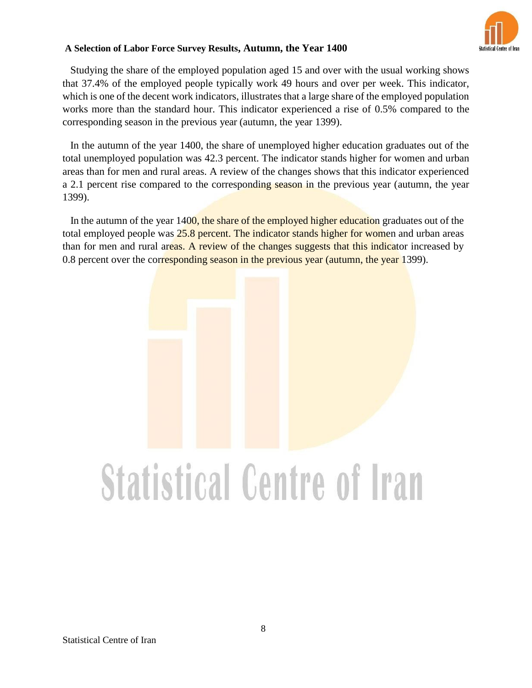

Studying the share of the employed population aged 15 and over with the usual working shows that 37.4% of the employed people typically work 49 hours and over per week. This indicator, which is one of the decent work indicators, illustrates that a large share of the employed population works more than the standard hour. This indicator experienced a rise of 0.5% compared to the corresponding season in the previous year (autumn, the year 1399).

In the autumn of the year 1400, the share of unemployed higher education graduates out of the total unemployed population was 42.3 percent. The indicator stands higher for women and urban areas than for men and rural areas. A review of the changes shows that this indicator experienced a 2.1 percent rise compared to the corresponding season in the previous year (autumn, the year 1399).

In the autumn of the year 1400, the share of the employed higher education graduates out of the total employed people was 25.8 percent. The indicator stands higher for women and urban areas than for men and rural areas. A review of the changes suggests that this indicator increased by 0.8 percent over the corresponding season in the previous year (autumn, the year 1399).

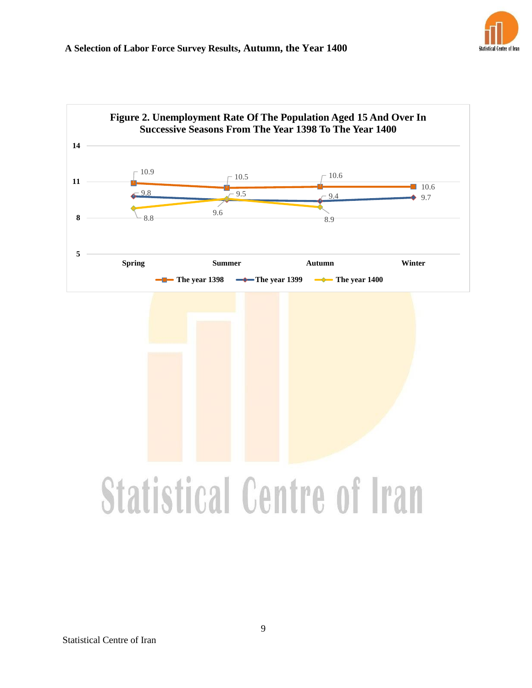

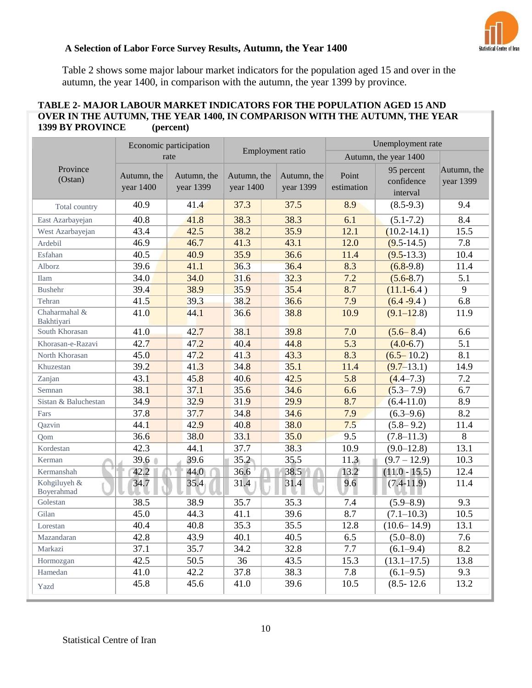

Table 2 shows some major labour market indicators for the population aged 15 and over in the autumn, the year 1400, in comparison with the autumn, the year 1399 by province.

## **TABLE 2- MAJOR LABOUR MARKET INDICATORS FOR THE POPULATION AGED 15 AND OVER IN THE AUTUMN, THE YEAR 1400, IN COMPARISON WITH THE AUTUMN, THE YEAR 1399 BY PROVINCE (percent)**

|                             | Economic participation   |                          |                          |  |                          |                     | Unemployment rate                    |                          |  |
|-----------------------------|--------------------------|--------------------------|--------------------------|--|--------------------------|---------------------|--------------------------------------|--------------------------|--|
|                             | rate                     | Employment ratio         |                          |  | Autumn, the year 1400    |                     |                                      |                          |  |
| Province<br>(Ostan)         | Autumn, the<br>year 1400 | Autumn, the<br>year 1399 | Autumn, the<br>year 1400 |  | Autumn, the<br>year 1399 | Point<br>estimation | 95 percent<br>confidence<br>interval | Autumn, the<br>year 1399 |  |
| Total country               | 40.9                     | 41.4                     | 37.3                     |  | 37.5                     | 8.9                 | $(8.5-9.3)$                          | 9.4                      |  |
| East Azarbayejan            | 40.8                     | 41.8                     | 38.3                     |  | 38.3                     | 6.1                 | $(5.1 - 7.2)$                        | 8.4                      |  |
| West Azarbayejan            | 43.4                     | 42.5                     | 38.2                     |  | 35.9                     | 12.1                | $(10.2 - 14.1)$                      | 15.5                     |  |
| Ardebil                     | 46.9                     | 46.7                     | 41.3                     |  | 43.1                     | 12.0                | $(9.5-14.5)$                         | 7.8                      |  |
| Esfahan                     | 40.5                     | 40.9                     | 35.9                     |  | 36.6                     | 11.4                | $(9.5-13.3)$                         | 10.4                     |  |
| Alborz                      | 39.6                     | 41.1                     | 36.3                     |  | 36.4                     | 8.3                 | $(6.8-9.8)$                          | 11.4                     |  |
| <b>Ilam</b>                 | 34.0                     | 34.0                     | 31.6                     |  | 32.3                     | 7.2                 | $(5.6 - 8.7)$                        | 5.1                      |  |
| <b>Bushehr</b>              | 39.4                     | 38.9                     | 35.9                     |  | 35.4                     | 8.7                 | $(11.1-6.4)$                         | 9                        |  |
| Tehran                      | 41.5                     | 39.3                     | 38.2                     |  | 36.6                     | 7.9                 | $(6.4 - 9.4)$                        | 6.8                      |  |
| Chaharmahal &<br>Bakhtiyari | 41.0                     | 44.1                     | 36.6                     |  | 38.8                     | 10.9                | $(9.1 - 12.8)$                       | 11.9                     |  |
| South Khorasan              | 41.0                     | 42.7                     | 38.1                     |  | 39.8                     | 7.0                 | $(5.6 - 8.4)$                        | 6.6                      |  |
| Khorasan-e-Razavi           | 42.7                     | 47.2                     | 40.4                     |  | 44.8                     | 5.3                 | $(4.0-6.7)$                          | 5.1                      |  |
| North Khorasan              | 45.0                     | 47.2                     | 41.3                     |  | 43.3                     | 8.3                 | $(6.5 - 10.2)$                       | 8.1                      |  |
| Khuzestan                   | 39.2                     | 41.3                     | 34.8                     |  | 35.1                     | 11.4                | $(9.7-13.1)$                         | 14.9                     |  |
| Zanjan                      | 43.1                     | 45.8                     | 40.6                     |  | 42.5                     | 5.8                 | $(4.4 - 7.3)$                        | 7.2                      |  |
| Semnan                      | 38.1                     | 37.1                     | 35.6                     |  | 34.6                     | 6.6                 | $(5.3 - 7.9)$                        | 6.7                      |  |
| Sistan & Baluchestan        | 34.9                     | 32.9                     | 31.9                     |  | 29.9                     | 8.7                 | $(6.4-11.0)$                         | 8.9                      |  |
| Fars                        | 37.8                     | 37.7                     | 34.8                     |  | 34.6                     | 7.9                 | $(6.3 - 9.6)$                        | 8.2                      |  |
| Qazvin                      | 44.1                     | 42.9                     | 40.8                     |  | 38.0                     | 7.5                 | $(5.8 - 9.2)$                        | 11.4                     |  |
| Qom                         | 36.6                     | 38.0                     | 33.1                     |  | 35.0                     | 9.5                 | $(7.8 - 11.3)$                       | 8                        |  |
| Kordestan                   | 42.3                     | 44.1                     | 37.7                     |  | 38.3                     | 10.9                | $(9.0 - 12.8)$                       | 13.1                     |  |
| Kerman                      | 39.6                     | 39.6                     | 35.2                     |  | 35.5                     | 11.3                | $(9.7 - 12.9)$                       | 10.3                     |  |
| Kermanshah                  | 42.2                     | 44.0                     | 36.6                     |  | 38.5                     | 13.2                | $(11.0 - 15.5)$                      | 12.4                     |  |
| Kohgiluyeh &<br>Boyerahmad  | 34.7                     | 35.4                     | 31.4                     |  | 31.4                     | 9.6                 | $(7.4-11.9)$                         | 11.4                     |  |
| Golestan                    | 38.5                     | 38.9                     | 35.7                     |  | 35.3                     | 7.4                 | $(5.9 - 8.9)$                        | 9.3                      |  |
| Gilan                       | 45.0                     | 44.3                     | 41.1                     |  | 39.6                     | 8.7                 | $(7.1 - 10.3)$                       | 10.5                     |  |
| Lorestan                    | 40.4                     | 40.8                     | 35.3                     |  | 35.5                     | 12.8                | $(10.6 - 14.9)$                      | 13.1                     |  |
| Mazandaran                  | 42.8                     | 43.9                     | 40.1                     |  | 40.5                     | 6.5                 | $(5.0 - 8.0)$                        | 7.6                      |  |
| Markazi                     | 37.1                     | 35.7                     | 34.2                     |  | 32.8                     | 7.7                 | $(6.1 - 9.4)$                        | 8.2                      |  |
| Hormozgan                   | 42.5                     | 50.5                     | 36                       |  | 43.5                     | 15.3                | $(13.1 - 17.5)$                      | 13.8                     |  |
| Hamedan                     | 41.0                     | 42.2                     | 37.8                     |  | 38.3                     | 7.8                 | $(6.1 - 9.5)$                        | 9.3                      |  |
| Yazd                        | 45.8                     | 45.6                     | 41.0                     |  | 39.6                     | 10.5                | $(8.5 - 12.6)$                       | 13.2                     |  |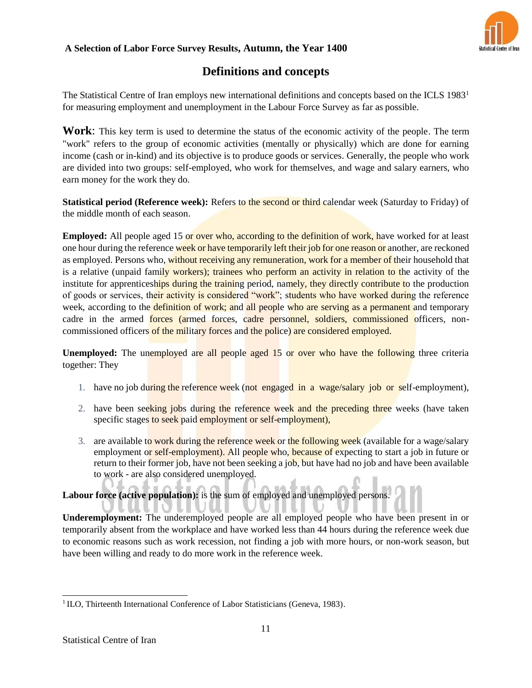

# **Definitions and concepts**

The Statistical Centre of Iran employs new international definitions and concepts based on the ICLS 1983<sup>1</sup> for measuring employment and unemployment in the Labour Force Survey as far as possible.

**Work**: This key term is used to determine the status of the economic activity of the people. The term "work" refers to the group of economic activities (mentally or physically) which are done for earning income (cash or in-kind) and its objective is to produce goods or services. Generally, the people who work are divided into two groups: self-employed, who work for themselves, and wage and salary earners, who earn money for the work they do.

**Statistical period (Reference week):** Refers to the second or third calendar week (Saturday to Friday) of the middle month of each season.

**Employed:** All people aged 15 or over who, according to the definition of work, have worked for at least one hour during the reference week or have temporarily left their job for one reason or another, are reckoned as employed. Persons who, without receiving any remuneration, work for a member of their household that is a relative (unpaid family workers); trainees who perform an activity in relation to the activity of the institute for apprenticeships during the training period, namely, they directly contribute to the production of goods or services, their activity is considered "work"; students who have worked during the reference week, according to the definition of work; and all people who are serving as a permanent and temporary cadre in the armed forces (armed forces, cadre personnel, soldiers, commissioned officers, noncommissioned officers of the military forces and the police) are considered employed.

Unemployed: The unemployed are all people aged 15 or over who have the following three criteria together: They

- 1. have no job during the reference week (not engaged in a wage/salary job or self-employment),
- 2. have been seeking jobs during the reference week and the preceding three weeks (have taken specific stages to seek paid employment or self-employment),
- 3. are available to work during the reference week or the following week (available for a wage/salary employment or self-employment). All people who, because of expecting to start a job in future or return to their former job, have not been seeking a job, but have had no job and have been available to work - are also considered unemployed.

**Labour force (active population):** is the sum of employed and unemployed persons.

W. L

**Underemployment:** The underemployed people are all employed people who have been present in or temporarily absent from the workplace and have worked less than 44 hours during the reference week due to economic reasons such as work recession, not finding a job with more hours, or non-work season, but have been willing and ready to do more work in the reference week.

<sup>&</sup>lt;sup>1</sup> ILO, Thirteenth International Conference of Labor Statisticians (Geneva, 1983).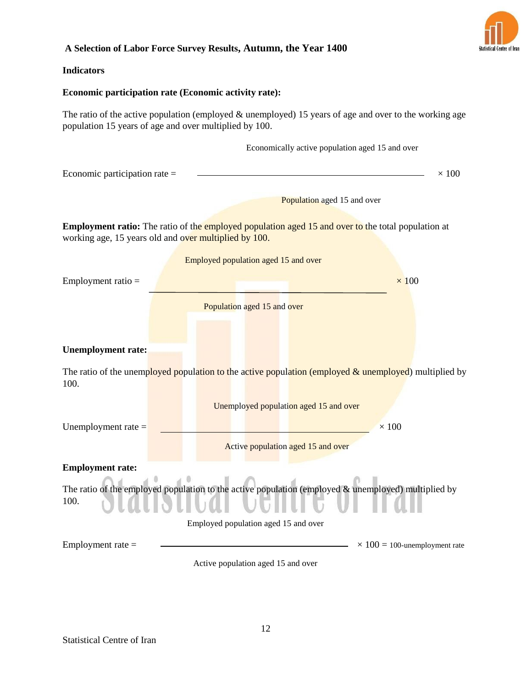

#### **Indicators**

#### **Economic participation rate (Economic activity rate):**

The ratio of the active population (employed  $\&$  unemployed) 15 years of age and over to the working age population 15 years of age and over multiplied by 100.

Economically active population aged 15 and over

| Economic participation rate $=$ | 100 |
|---------------------------------|-----|
|                                 |     |
|                                 |     |

Population aged 15 and over

**Employment ratio:** The ratio of the employed population aged 15 and over to the total population at working age, 15 years old and over multiplied by 100.

|                           | Employed population aged 15 and over                                                                   |
|---------------------------|--------------------------------------------------------------------------------------------------------|
| Employment ratio $=$      | $\times$ 100                                                                                           |
|                           | Population aged 15 and over                                                                            |
|                           |                                                                                                        |
| <b>Unemployment rate:</b> |                                                                                                        |
| 100.                      | The ratio of the unemployed population to the active population (employed & unemployed) multiplied by  |
|                           | Unemployed population aged 15 and over                                                                 |
| Unemployment rate $=$     | $\times 100$                                                                                           |
|                           | Active population aged 15 and over                                                                     |
| <b>Employment rate:</b>   |                                                                                                        |
| 100.                      | The ratio of the employed population to the active population (employed $\&$ unemployed) multiplied by |
|                           | Employed population aged 15 and over                                                                   |
| Employment rate $=$       | $\times$ 100 = 100-unemployment rate                                                                   |
|                           |                                                                                                        |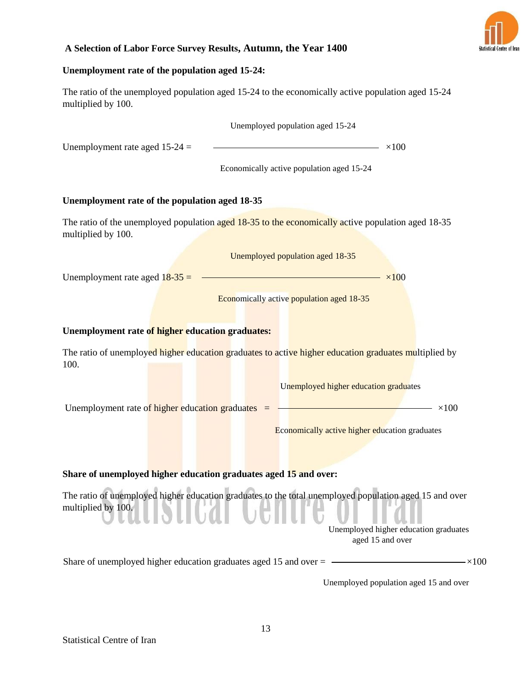

## **Unemployment rate of the population aged 15-24:**

The ratio of the unemployed population aged 15-24 to the economically active population aged 15-24 multiplied by 100.

|                                                                  | Unemployed population aged 15-24                                                                                                                                    |  |  |  |  |  |
|------------------------------------------------------------------|---------------------------------------------------------------------------------------------------------------------------------------------------------------------|--|--|--|--|--|
| Unemployment rate aged $15-24 =$                                 | $\sim 100$                                                                                                                                                          |  |  |  |  |  |
|                                                                  | Economically active population aged 15-24                                                                                                                           |  |  |  |  |  |
| Unemployment rate of the population aged 18-35                   |                                                                                                                                                                     |  |  |  |  |  |
| multiplied by 100.                                               | The ratio of the unemployed population aged 18-35 to the economically active population aged 18-35                                                                  |  |  |  |  |  |
|                                                                  | Unemployed population aged 18-35                                                                                                                                    |  |  |  |  |  |
| Unemployment rate aged $18-35 =$                                 | $\times 100$                                                                                                                                                        |  |  |  |  |  |
|                                                                  | Economically active population aged 18-35                                                                                                                           |  |  |  |  |  |
| Unemployment rate of higher education graduates:                 |                                                                                                                                                                     |  |  |  |  |  |
| 100.                                                             | The ratio of unemployed higher education graduates to active higher education graduates multiplied by                                                               |  |  |  |  |  |
|                                                                  | Unemployed higher education graduates                                                                                                                               |  |  |  |  |  |
|                                                                  |                                                                                                                                                                     |  |  |  |  |  |
|                                                                  | Economically active higher education graduates                                                                                                                      |  |  |  |  |  |
|                                                                  |                                                                                                                                                                     |  |  |  |  |  |
| Share of unemployed higher education graduates aged 15 and over: |                                                                                                                                                                     |  |  |  |  |  |
| multiplied by 100.                                               | The ratio of unemployed higher education graduates to the total unemployed population aged 15 and over<br>Unemployed higher education graduates<br>aged 15 and over |  |  |  |  |  |
|                                                                  | Share of unemployed higher education graduates aged 15 and over $=$ $\frac{\phantom{1}}{2}$<br>$-\times 100$                                                        |  |  |  |  |  |
|                                                                  |                                                                                                                                                                     |  |  |  |  |  |

Unemployed population aged 15 and over